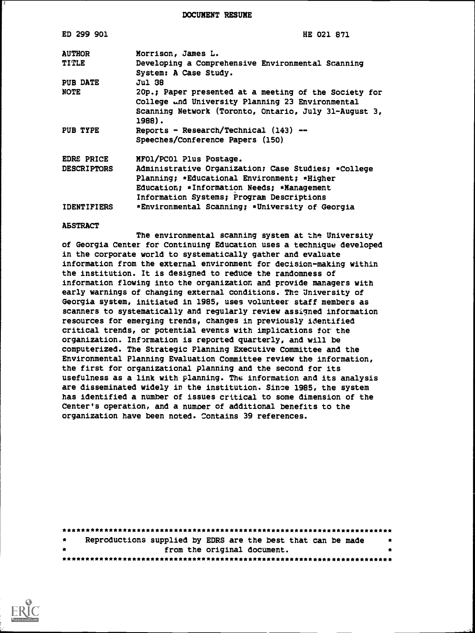DOCUMENT RESUME

| ED 299 901         | HE 021 871                                                                                                |
|--------------------|-----------------------------------------------------------------------------------------------------------|
| <b>AUTHOR</b>      | Morrison, James L.                                                                                        |
| <b>TITLE</b>       | Developing a Comprehensive Environmental Scanning<br>System: A Case Study.                                |
| <b>PUB DATE</b>    | Jul 38                                                                                                    |
| <b>NOTE</b>        | 20p.; Paper presented at a meeting of the Society for<br>College and University Planning 23 Environmental |
|                    | Scanning Network (Toronto, Ontario, July 31-August 3,<br>1988).                                           |
| PUB TYPE           | Reports - Research/Technical (143) --                                                                     |
|                    | Speeches/Conference Papers (150)                                                                          |
| <b>EDRS PRICE</b>  | MFO1/PCO1 Plus Postage.                                                                                   |
| <b>DESCRIPTORS</b> | Administrative Organization; Case Studies; *College                                                       |
|                    | Planning; *Educational Environment; *Higher                                                               |
|                    | Education; *Information Needs; *Management                                                                |
|                    | Information Systems; Program Descriptions                                                                 |
| <b>IDENTIFIERS</b> | *Environmental Scanning; *University of Georgia                                                           |

#### ABSTRACT

The environmental scanning system at the University of Georgia Center for Continuing Education uses a technique developed in the corporate world to systematically gather and evaluate information from the external environment for decision-making within the institution. It is designed to reduce the randomness of information flowing into the organization and provide managers with early warnings of changing external conditions. The University of Georgia system, initiated in 1985, uses volunteer staff members as scanners to systematically and regularly review assigned information resources for emerging trends, changes in previously identified critical trends, or potential events with implications for the organization. Information is reported quarterly, and will be computerized. The Strategic Planning Executive Committee and the Environmental Planning Evaluation Committee review the information, the first for organizational planning and the second for its usefulness as a link with planning. The information and its analysis are disseminated widely in the institution. Since 1985, the system has identified a number of issues critical to some dimension of the Center's operation, and a number of additional benefits to the organization have been noted. Contains 39 references.

| $\bullet$ | Reproductions supplied by EDRS are the best that can be made |  |  |                             |  | $\bullet$ |  |
|-----------|--------------------------------------------------------------|--|--|-----------------------------|--|-----------|--|
| $\bullet$ |                                                              |  |  | from the original document. |  |           |  |
|           |                                                              |  |  |                             |  |           |  |

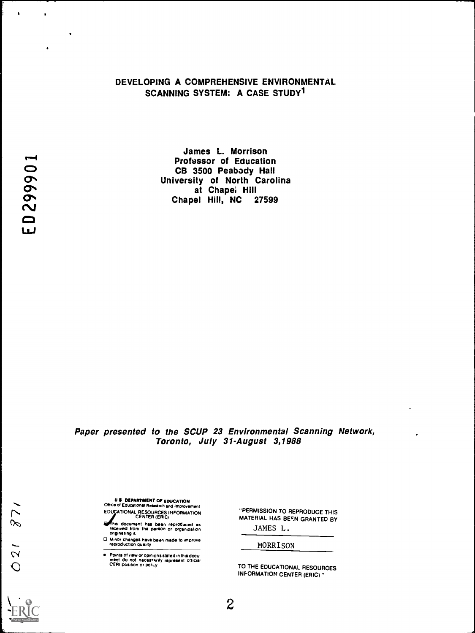# DEVELOPING A COMPREHENSIVE ENVIRONMENTAL SCANNING SYSTEM: A CASE STUDY<sup>1</sup>

James L. Morrison Professor of Education<br>CB 3500 Peabody Hall CB 3500 Peabody Hall University of North Carolina at Chape; Hill Chapel Hill, NC 27599

# Paper presented to the SCUP 23 Environmental Scanning Network, Toronto, July 31-August 3,1988

U II DEPARTMENT OF EDUCATION Office of Educational Research and Improvement EDUCATIONAL RESOURCES INFORMATION CENTER (ERIC)

Ms document has been reproduced as received from the person or organization originating it

O Minor changes have been made to improve reproduction quality

Points of view or opinions stated in this docu-<br>ment ido: not: neces•srily rapresent: official<br>CERI position or policy

"PERMISSION TO REPRODUCE THIS MATERIAL HAS BEEN GRANTED BY

JAMES L.

MORRISON

TO THE EDUCATIONAL RESOURCES INFORMATION CENTER (ERIC)"

 $\ddot{\phantom{1}}$ 

 $\overline{\phantom{a}}$ 

 $\bullet$ 

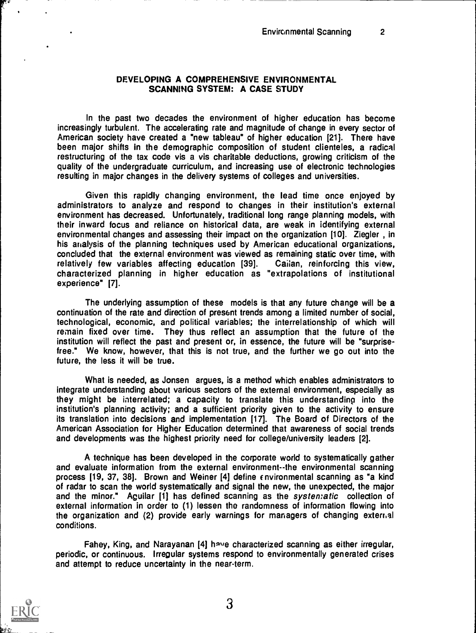#### DEVELOPING A COMPREHENSIVE ENVIRONMENTAL SCANNING SYSTEM: A CASE STUDY

In the past two decades the environment of higher education has become increasingly turbulent. The accelerating rate and magnitude of change in every sector of American society have created a "new tableau" of higher education [21]. There have been major shifts in the demographic composition of student clienteles, a radical restructuring of the tax code vis a vis charitable deductions, growing criticism of the quality of the undergraduate curriculum, and increasing use of electronic technologies resulting in major changes in the delivery systems of colleges and universities.

Given this rapidly changing environment, the lead time once enjoyed by administrators to analyze and respond to changes in their institution's external environment has decreased. Unfortunately, traditional long range planning models, with their inward focus and reliance on historical data, are weak in identifying external environmental changes and assessing their impact on the organization [10]. Ziegler , in his analysis of the planning techniques used by American educational organizations, concluded that the external environment was viewed as remaining static over time, with relatively few variables affecting education [39]. Callan, reinforcing this view, characterized planning in higher education as "extrapolations of institutional experience" [7].

The underlying assumption of these models is that any future change will be a continuation of the rate and direction of present trends among a limited number of social, technological, economic, and political variables; the interrelationship of which will remain fixed over time. They thus reflect an assumption that the future of the institution will reflect the past and present or, in essence, the future will be "surprisefree." We know, however, that this is not true, and the further we go out into the future, the less it will be true.

What is needed, as Jonsen argues, is a method which enables administrators to integrate understanding about various sectors of the external environment, especially as they might be interrelated; a capacity to translate this understanding into the institution's planning activity; and a sufficient priority given to the activity to ensure its translation into decisions and implementation [17]. The Board of Directors of the American Association for Higher Education determined that awareness of social trends and developments was the highest priority need for college/university leaders [2].

A technique has been developed in the corporate world to systematically gather and evaluate information from the external environment--the environmental scanning process [19, 37, 38]. Brown and Weiner [4] define cnvironmental scanning as "a kind of radar to scan the world systematically and signal the new, the unexpected, the major and the minor." Aguilar [1] has defined scanning as the systen:atic collection of external information in order to (1) lessen the randomness of information flowing into the organization and (2) provide early warnings for managers of changing external conditions.

Fahey, King, and Narayanan [4] have characterized scanning as either irregular, periodic, or continuous. Irregular systems respond to environmentally generated crises and attempt to reduce uncertainty in the near-term.

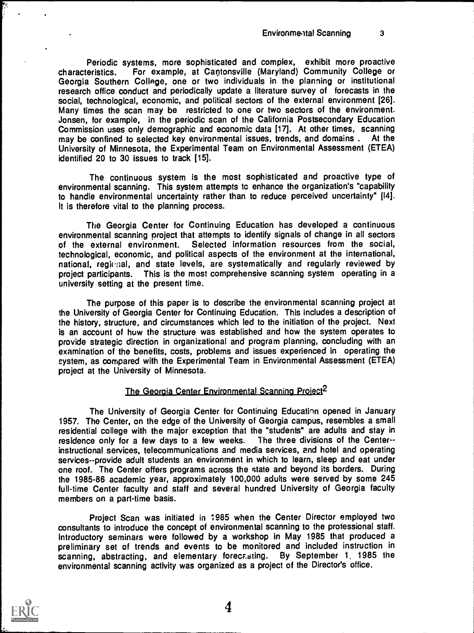Periodic systems, more sophisticated and complex, exhibit more proactive characteristics. For example, at Cantonsville (Maryland) Community College or Georgia Southern College, one or two individuals in the planning or institutional research office conduct and periodically update a literature survey of forecasts in the social, technological, economic, and political sectors of the external environment [26]. Many times the scan may be restricted to one or two sectors of the environment. Jonsen, for example, in the periodic scan of the California Postsecondary Education Commission uses only demographic and economic data [17]. At other times, scanning may be confined to selected key environmental issues, trends, and domains . At the University of Minnesota, the Experimental Team on Environmental Assessment (ETEA) identified 20 to 30 issues to track [15].

The continuous system is the most sophisticated and proactive type of environmental scanning. This system attempts tc enhance the organization's "capability to handle environmental uncertainty rather than to reduce perceived uncertainty" [14]. It is therefore vital to the planning process.

The Georgia Center for Continuing Education has developed a continuous environmental scanning project that attempts to identify signals of change in all sectors of the external environment. Selected information resources from the social, technological, economic, and political aspects of the environment at the international, national, regional, and state levels, are systematically and regularly reviewed by project participants. This is the most comprehensive scanning system operating in a university setting at the present time.

The purpose of this paper is to describe the environmental scanning project at the University of Georgia Center for Continuing Education. This includes a description of the history, structure, and circumstances which led to the initiation of the project. Next is an account of how the structure was established and how the system operates to provide strategic direction in organizational and program planning, concluding with an examination of the benefits, costs, problems and issues experienced in operating the system, as compared with the Experimental Team in Environmental Assessment (ETEA) project at the University of Minnesota.

## The Georgia Center Environmental Scanning Project<sup>2</sup>

The University of Georgia Center for Continuing Education opened in January 1957. The Center, on the edge of the University of Georgia campus, resembles a small residential college with the major exception that the "students" are adults and stay in residence only for a few days to a few weeks. The three divisions of the Center-residence only for a few days to a few weeks. instructional services, telecommunications and media services, and hotel and operating services--provide adult students an environment in which to learn, sleep and eat under one roof. The Center offers programs across the state and beyond its borders. During the 1985-86 academic year, approximately 100,000 adults were served by some 245 full-time Center faculty and staff and several hundred University of Georgia faculty members on a part-time basis.

Project Scan was initiated in 1985 when the Center Director employed two consultants to introduce the concept of environmental scanning to the professional staff. Introductory seminars were followed by a workshop in May 1985 that produced a preliminary set of trends and events to be monitored and included instruction in scanning, abstracting, and elementary forecasting. By September 1, 1985 the environmental scanning activity was organized as a project of the Director's office.

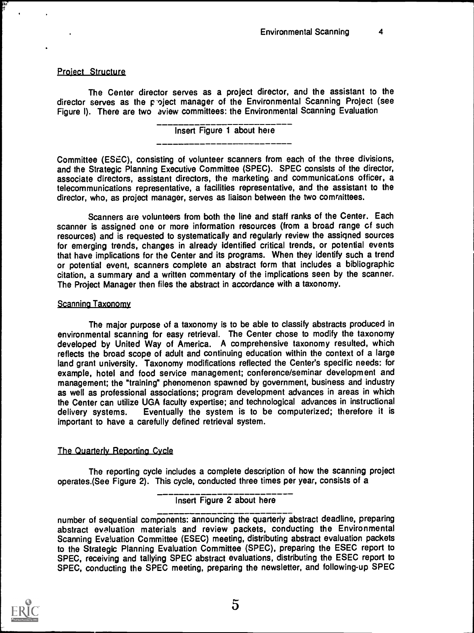## Project Structure

The Center director serves as a project director, and the assistant to the director serves as the project manager of the Environmental Scanning Project (see Figure I). There are two aview committees: the Environmental Scanning Evaluation

## Insert Figure 1 about here

Committee (ESEC), consisting of volunteer scanners from each of the three divisions, and the Strategic Planning Executive Committee (SPEC). SPEC consists of the director, associate directors, assistant directors, the marketing and communications officer, a telecommunications representative, a facilities representative, and the assistant to the director, who, as project manager, serves as liaison between the two comrnittees.

Scanners are volunteers from both the line and staff ranks of the Center. Each scanner is assigned one or more information resources (from a broad range cf such resources) and is requested to systematically and regularly review the assigned sources for emerging trends, changes in already identified critical trends, or potential events that have implications for the Center and its programs. When they identify such a trend or potential event, scanners complete an abstract form that includes a bibliographic citation, a summary and a written commentary of the implications seen by the scanner. The Project Manager then files the abstract in accordance with a taxonomy.

## Scanning Taxonomy

The major purpose of a taxonomy is to be able to classify abstracts produced in environmental scanning for easy retrieval. The Center chose to modify the taxonomy developed by United Way of America. A comprehensive taxonomy resulted, which reflects the broad scope of adult and continuing education within the context of a large land grant university. Taxonomy modifications reflected the Center's specific needs: for example, hotel and food service management; conference/seminar development and management; the "training" phenomenon spawned by government, business and industry as well as professional associations; program development advances in areas in which the Center can utilize UGA faculty expertise; and technological advances in instructional delivery systems. Eventually the system is to be computerized; therefore it is important to have a carefully defined retrieval system.

# The Quarterly Reporting Cycle

The reporting cycle includes a complete description of how the scanning project operates.(See Figure 2). This cycle, conducted three times per year, consists of a

# Insert Figure 2 about here

number of sequential components: announcing the quarterly abstract deadline, preparing abstract evaluation materials and review packets, conducting the Environmental Scanning Eva!uation Committee (ESEC) meeting, distributing abstract evaluation packets to the Strategic Planning Evaluation Committee (SPEC), preparing the ESEC report to SPEC, receiving and tallying SPEC abstract evaluations, distributing the ESEC report to SPEC, conducting the SPEC meeting, preparing the newsletter, and following-up SPEC

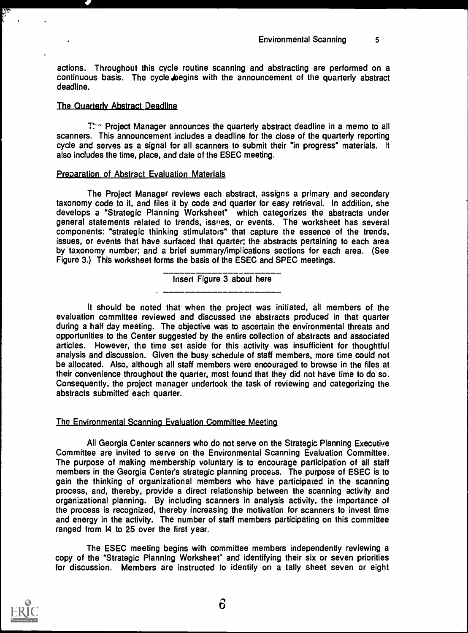actions. Throughout this cycle routine scanning and abstracting are performed on a continuous basis. The cycle begins with the announcement of the quarterly abstract deadline.

#### The Quarterly Abstract Deadline

 $T^{\prime}$  Project Manager announces the quarterly abstract deadline in a memo to all scanners. This announcement includes a deadline for the close of the quarterly reporting cycle and serves as a signal for all scanners to submit their "in progress" materials. It also includes the time, place, and date of the ESEC meeting.

#### **Preparation of Abstract Evaluation Materials**

The Project Manager reviews each abstract, assigns a primary and secondary taxonomy code to it, and files it by code and quarter for easy retrieval. In addition, she develops a "Strategic Planning Worksheet" which categorizes the abstracts under general statements related to trends, issues, or events. The worksheet has several components: "strategic thinking stimulators" that capture the essence of the trends, issues, or events that have surfaced that quarter; the abstracts pertaining to each area by taxonomy number; and a brief summary/implications sections for each area. (See Figure 3.) This worksheet forms the basis of the ESEC and SPEC meetings.

Insert Figure 3 about here

It should be noted that when the project was initiated, all members of the evaluation committee reviewed and discussed the abstracts produced in that quarter during a half day meeting. The objective was to ascertain the environmental threats and opportunities to the Center suggested by the entire collection of abstracts and associated articles. However, the time set aside for this activity was insufficient for thoughtful analysis and discussion. Given the busy schedule of staff members, more time could not be allocated. Also, although all staff members were encouraged to browse in the files at their convenience throughout the quarter, most found that they did not have time to do so. Consequently, the project manager undertook the task of reviewing and categorizing the abstracts submitted each quarter.

## The Environmental Scanning Evaluation Committee Meeting

All Georgia Center scanners who do not serve on the Strategic Planning Executive Committee are invited to serve on the Environmental Scanning Evaluation Committee. The purpose of making membership voluntary is to encourage participation of all staff members in the Georgia Center's strategic planning process. The purpose of ESEC is to gain the thinking of organizational members who have participated in the scanning process, and, thereby, provide a direct relationship between the scanning activity and organizational planning. By including scanners in analysis activity, the importance of the process is recognized, thereby increasing the motivation for scanners to invest time and energy in the activity. The number of staff members participating on this committee ranged from 14 to 25 over the first year.

The ESEC meeting begins with committee members independently reviewing a copy of the "Strategic Planning Worksheet" and identifying their six or seven priorities for discussion. Members are instructed to identify on a tally sheet seven or eight



 $6\overline{6}$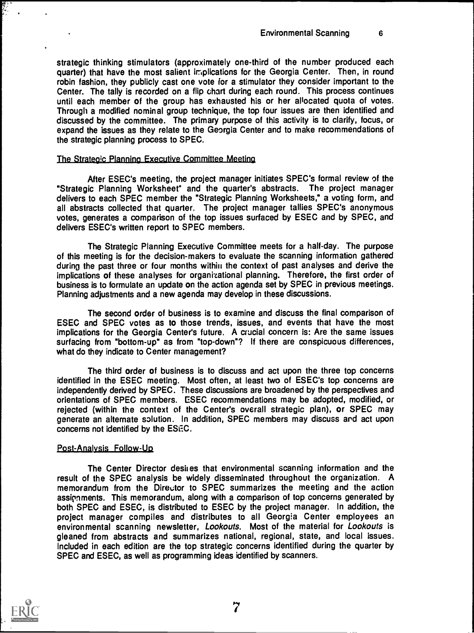strategic thinking stimulators (approximately one-third of the number produced each quarter) that have the most salient implications for the Georgia Center. Then, in round robin fashion, they publicly cast one vote for a stimulator they consider important to the Center. The tally is recorded on a flip chart during each round. This process continues until each member of the group has exhausted his or her allocated quota of votes. Through a modified nominal group technique, the top four issues are then identified and discussed by the committee. The primary purpose of this activity is to clarify, focus, or expand the issues as they relate to the Georgia Center and to make recommendations of the strategic planning process to SPEC.

#### The Strategic Planning Executive Committee Meeting

After ESEC's meeting, the project manager initiates SPEC's formal review of the "Strategic Planning Worksheet" and the quarter's abstracts. The project manager delivers to each SPEC member the "Strategic Planning Worksheets," a voting form, and all abstracts collected that quarter. The project manager tallies SPEC's anonymous votes, generates a comparison of the top issues surfaced by ESEC and by SPEC, and delivers ESEC's written report to SPEC members.

The Strategic Planning Executive Committee meets for a half-day. The purpose of this meeting is for the decision-makers to evaluate the scanning information gathered during the past three or four months within the context of past analyses and derive the implications of these analyses for organizational planning. Therefore, the first order of business is to formulate an update on the action agenda set by SPEC in previous meetings. Planning adjustments and a new agenda may develop in these discussions.

The second order of business is to examine and discuss the final comparison of ESEC and SPEC votes as to those trends, issues, and events that have the most implications for the Georgia Center's future. A crucial concern is: Are the same issues surfacing from "bottom-up" as from "top-down"? If there are conspicuous differences, what do they indicate to Center management?

The third order of business is to discuss and act upon the three top concerns identified in the ESEC meeting. Most often, at least two of ESEC's top concerns are independently derived by SPEC. These discussions are broadened by the perspectives and orientations of SPEC members. ESEC recommendations may be adopted, modified, or rejected (within the context of the Center's overall strategic plan), or SPEC may generate an alternate solution. In addition, SPEC members may discuss and act upon concerns not identified by the ESEC.

## Post-Analysis Follow-Up

The Center Director desires that environmental scanning information and the result of the SPEC analysis be widely disseminated throughout the organization. A memorandum from the Director to SPEC summarizes the meeting and the action assipments. This memorandum, along with a comparison of top concerns generated by both SPEC and ESEC, is distributed to ESEC by the project manager. In addition, the project manager compiles and distributes to all Georgia Center employees an environmental scanning newsletter, Lookouts. Most of the material for Lookouts is gleaned from abstracts and summarizes national, regional, state, and local issues. Included in each edition are the top strategic concerns identified during the quarter by SPEC and ESEC, as well as programming ideas identified by scanners.

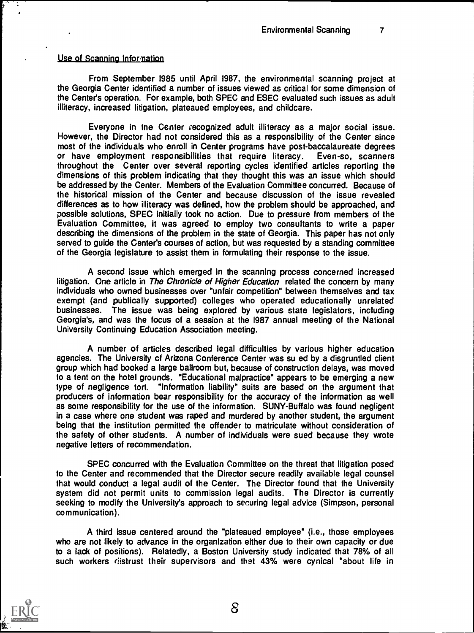#### Use of Scanning Information

From September 1985 until April 1987, the environmental scanning project at the Georgia Center identified a number of issues viewed as critical for some dimension of the Center's operation. For example, both SPEC and ESEC evaluated such issues as adult illiteracy, increased litigation, plateaued employees, and childcare.

Everyone in the Center recognized adult illiteracy as a major social issue. However, the Director had not considered this as a responsibility of the Center since most of the individuals who enroll in Center programs have post-baccalaureate degrees or have employment responsibilities that require literacy. Even-so, scanners throughout the Center over several reporting cycles identified articles reporting the dimensions of this problem indicating that they thought this was an issue which should be addressed by the Center. Members of the Evaluation Committee concurred. Because of the historical mission of the Center and because discussion of the issue revealed differences as to how illiteracy was defined, how the problem should be approached, and possible solutions, SPEC initially took no action. Due to pressure from members of the Evaluation Committee, it was agreed to employ two consultants to write a paper describing the dimensions of the problem in the state of Georgia. This paper has not only served to guide the Center's courses of action, but was requested by a standing committee of the Georgia legislature to assist them in formulating their response to the issue.

A second issue which emerged in the scanning process concerned increased litigation. One article in The Chronicle of Higher Education related the concern by many individuals who owned businesses over "unfair competition" between themselves and tax exempt (and publically supported) colleges who operated educationally unrelated businesses. The issue was being explored by various state legislators, including Georgia's, and was the focus of a session at the 1987 annual meeting of the National University Continuing Education Association meeting.

A number of articles described legal difficulties by various higher education agencies. The University cf Arizona Conference Center was su ed by a disgruntled client group which had booked a large ballroom but, because of construction delays, was moved to a tent on the hotel grounds. "Educational malpractice" appears to be emerging a new type of negligence tort. "Information liability" suits are based on the argument that producers of information bear responsibility for the accuracy of the information as well as some responsibility for the use of the information. SUNY-Buffalo was found negligent in a case where one student was raped and murdered by another student, the argument being that the institution permitted the offender to matriculate without consideration of the safety of other students. A number of individuals were sued because they wrote negative letters of recommendation.

SPEC concurred with the Evaluation Committee on the threat that litigation posed to the Center and recommended that the Director secure readily available legal counsel that would conduct a legal audit of the Center. The Director found that the University system did not permit units to commission legal audits. The Director is currently seeking to modify the University's approach to securing legal advice (Simpson, personal communication).

A third issue centered around the "plateaued employee" (i.e., those employees who are not likely to advance in the organization either due to their own capacity or due to a lack of positions). Relatedly, a Boston University study indicated that 78% of all such workers distrust their supervisors and that 43% were cynical "about life in

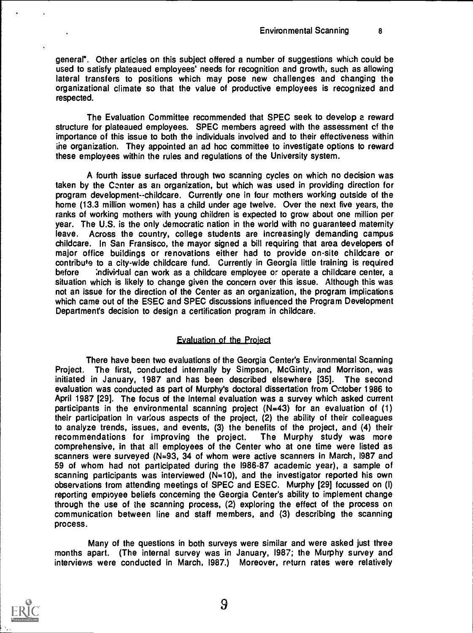general". Other articles on this subject offered a number of suggestions which could be used to satisfy plateaued employees' needs for recognition and growth, such as allowing lateral transfers to positions which may pose new challenges and changing the organizational climate so that the value of productive employees is recognized and respected.

The Evaluation Committee recommended that SPEC seek to develop a reward structure for plateaued employees. SPEC members agreed with the assessment cf the importance of this issue to both the individuals involved and to their effectiveness within ihe organization. They appointed an ad hoc committee to investigate options to reward these employees within the rules and regulations of the University system.

A fourth issue surfaced through two scanning cycles on which no decision was taken by the Center as an organization, but which was used in providing direction for program development--childcare. Currently one in four mothers working outside of the home (13.3 million women) has a child under age twelve. Over the next five years, the ranks of working mothers with young children is expected to grow about one million per year. The U.S. is the only democratic nation in the world with no guaranteed maternity leave. Across the country, college students are increasingly demanding campus childcare. In San Fransisco, the mayor signed a bill requiring that area developers of major office buildings or renovations either had to provide on-site childcare or contribute to a city-wide childcare fund. Currently in Georgia little training is required before individual can work as a childcare employee or operate a childcare center, a situation which is likely to change given the concern over this issue. Although this was not an issue for the direction of the Center as an organization, the program implications which came out of the ESEC and SPEC discussions influenced the Program Development Department's decision to design a certification program in childcare.

## Evaluation of the Project

There have been two evaluations of the Georgia Center's Environmental Scanning Project. The first, conducted internally by Simpson, McGinty, and Morrison, was initiated in January, 1987 and has been described elsewhere [35]. The second evaluation was conducted as part of Murphy's doctoral dissertation from October 1986 to April 1987 [29]. The focus of the internal evaluation was a survey which asked current participants in the environmental scanning project  $(N=43)$  for an evaluation of  $(1)$ their participation in various aspects of the project, (2) the ability of their colleagues to analyze trends, issues, and events, (3) the benefits of the project, and (4) their recommendations for improving the project. The Murphy study was more comprehensive, in that all employees of the Center who at one time were listed as scanners were surveyed (N=93, 34 of whom were active scanners in March, 1987 and 59 of whom had not participated during the 1986-87 academic year), a sample of scanning participants was interviewed  $(N=10)$ , and the investigator reported his own observations from attending meetings of SPEC and ESEC. Murphy [29] focussed on (I) reporting employee beliefs concerning the Georgia Center's ability to implement change through the use of the scanning process, (2) exploring the effect of the process on communication between line and staff members, and (3) describing the scanning process.

Many of the questions in both surveys were similar and were asked just three months apart. (The internal survey was in January, 1987; the Murphy survey and interviews were conducted in March, 1987.) Moreover, return rates were relatively

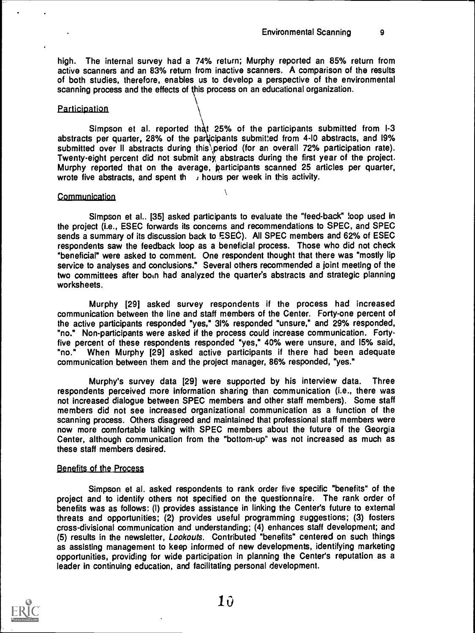high. The internal survey had a 74% return; Murphy reported an 85% return from active scanners and an 83% return from inactive scanners. A comparison of the results of both studies, therefore, enables us to develop a perspective of the environmental scanning process and the effects of this process on an educational organization.

 $\sqrt{2}$ 

#### **Participation**

Simpson et al. reported that 25% of the participants submitted from 1-3 abstracts per quarter,  $28\%$  of the participants submitted from  $4\text{-}10$  abstracts, and  $19\%$ submitted over II abstracts during this period (for an overall 72% participation rate). Twenty-eight percent did not submit any, abstracts during the first year of the project. Murphy reported that on the average, participants scanned 25 articles per quarter, wrote five abstracts, and spent the subgivity hours per week in this activity.

V

#### **Communication**

Simpson et al.. [35] asked participants to evaluate the "feed-back" loop used in the project (i.e., ESEC forwards its concerns and recommendations to SPEC, and SPEC sends a summary of its discussion back to ESEC). All SPEC members and 62% of ESEC respondents saw the feedback loop as a beneficial process. Those who did not check "beneficial" were asked to comment. One respondent thought that there was "mostly lip service to analyses and conclusions." Several others recommended a joint meeting of the two committees after born had analyzed the quarter's abstracts and strategic planning worksheets.

Murphy [29] asked survey respondents if the process had increased communication between the line and staff members of the Center. Forty-one percent of the active participants responded "yes," 31% responded "unsure," and 29% responded, "no." Non-participants were asked if the process could increase communication. Fortyfive percent of these respondents responded "yes," 40% were unsure, and 15% said, "no." When Murphy [29] asked active participants if there had been adequate communication between them and the project manager, 86% responded, "yes."

Murphy's survey data [29] were supported by his interview data. Three respondents perceived more information sharing than communication (i.e., there was not increased dialogue between SPEC members and other staff members). Some staff members did not see increased organizational communication as a function of the scanning process. Others disagreed and maintained that professional staff members were now more comfortable talking with SPEC members about the future of the Georgia Center, although communication from the "bottom-up" was not increased as much as these staff members desired.

#### Benefits of the Process

Simpson et al. asked respondents to rank order five specific "benefits" of the project and to identify others not specified on the questionnaire. The rank order of benefits was as follows: (I) provides assistance in linking the Center's future to external threats and opportunities; (2) provides useful programming suggestions; (3) fosters cross-divisional communication and understanding; (4) enhances staff development; and (5) results in the newsletter, Lookouts. Contributed "benefits" centered on such things as assisting management to keep informed of new developments, identifying marketing opportunities, providing for wide participation in planning the Center's reputation as a leader in continuing education, and facilitating personal development.

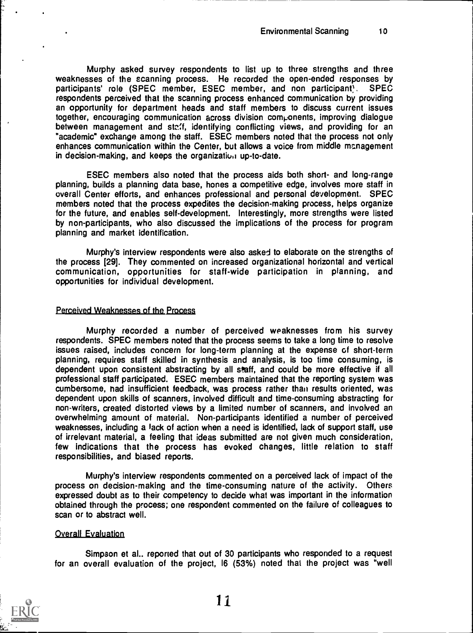Murphy asked survey respondents to list up to three strengths and three weaknesses of the scanning process. He recorded the open-ended responses by participants' role (SPEC member, ESEC member, and non participant). SPEC respondents perceived that the scanning process enhanced communication by providing an opportunity for department heads and staff members to discuss current issues together, encouraging communication across division components, improving dialogue between management and ste.'f, identifying conflicting views, and providing for an "academic" exchange among the staff. ESEC members noted that the process not only enhances communication within the Center, but allows a voice from middle management in decision-making, and keeps the organization up-to-date.

ESEC members also noted that the process aids both short- and long-range planning, builds a planning data base, hones a competitive edge, involves more staff in overall Center efforts, and enhances professional and personal development. SPEC members noted that the process expedites the decision-making process, helps organize for the future, and enables self-development. Interestingly, more strengths were listed by non-participants, who also discussed the implications of the process for program planning and market identification.

Murphy's interview respondents were also asked to elaborate on the strengths of the process [29]. They commented on increased organizational horizontal and vertical communication, opportunities for staff-wide participation in planning, and opportunities for individual development.

#### Perceived Weaknesses of the Process

Murphy recorded a number of perceived weaknesses from his survey respondents. SPEC members noted that the process seems to take a long time to resolve issues raised, includes concern for long-term planning at the expense of short-term planning, requires staff skilled in synthesis and analysis, is too time consuming, is dependent upon consistent abstracting by all staff, and could be more effective if all professional staff participated. ESEC members maintained that the reporting system was cumbersome, had insufficient feedback, was process rather than results oriented, was dependent upon skills of scanners, involved difficult and time-consuming abstracting for non-writers, created distorted views by a limited number of scanners, and involved an overwhelming amount of material. Non-participants identified a number of perceived weaknesses, including a lack of action when a need is identified, lack of support staff, use of irrelevant material, a feeling that ideas submitted are not given much consideration, few indications that the process has evoked changes, little relation to staff responsibilities, and biased reports.

Murphy's interview respondents commented on a perceived lack of impact of the process on decision-making and the time-consuming nature of the activity. Others expressed doubt as to their competency to decide what was important in the information obtained through the process; one respondent commented on the failure of colleagues to scan or to abstract well.

#### Overall Evaluation

Simpson et al.. reported that out of 30 participants who responded to a request for an overall evaluation of the project, 16 (53%) noted that the project was "well



1.1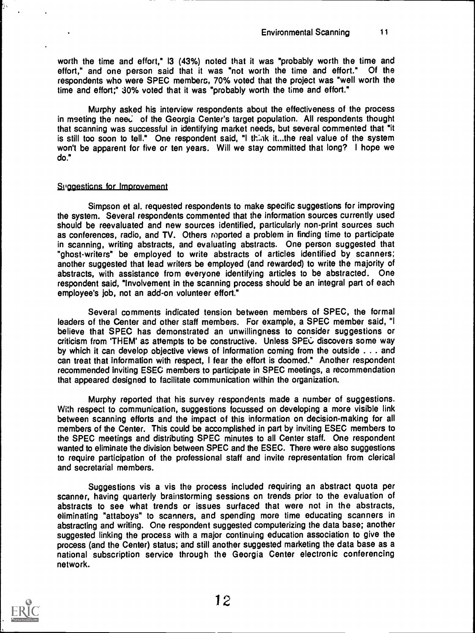worth the time and effort," 13 (43%) noted that it was "probably worth the time and effort," and one person said that it was "not worth the time and effort." Of the respondents who were SPEC members, 70% voted that the project was "well worth the time and effort;" 30% voted that it was "probably worth the time and effort."

Murphy asked his interview respondents about the effectiveness of the process in meeting the need of the Georgia Center's target population. All respondents thought that scanning was successful in identifying market needs, but several commented that "it is still too soon to tell." One respondent said, "I think it...the real value of the system won't be apparent for five or ten years. Will we stay committed that long? I hope we do."

#### Suggestions for Improvement

Simpson et al. requested respondents to make specific suggestions for improving the system. Several respondents commented that the information sources currently used should be reevaluated and new sources identified, particularly non-print sources such as conferences, radio, and TV. Others roported a problem in finding time to participate in scanning, writing abstracts, and evaluating abstracts. One person suggested that "ghost-writers" be employed to write abstracts of articles identified by scanners; another suggested that lead writers be employed (and rewarded) to write the majority of abstracts, with assistance from everyone identifying articles to be abstracted. One respondent said, "Involvement in the scanning process should be an integral part of each employee's job, not an add-on volunteer effort."

Several comments indicated tension between members of SPEC, the formal leaders of the Center and other staff members. For example, a SPEC member said, "I believe that SPEC has demonstrated an unwillingness to consider suggestions or criticism from 'THEM' as attempts to be constructive. Unless SPEC discovers some way by which it can develop objective views of information coming from the outside . . . and can treat that information with respect, I fear the effort is doomed." Another respondent recommended inviting ESEC members to participate in SPEC meetings, a recommendation that appeared designed to facilitate communication within the organization.

Murphy reported that his survey respondents made a number of suggestions. With respect to communication, suggestions focussed on developing a more visible link between scanning efforts and the impact of this information on decision-making for all members of the Center. This could be accomplished in part by inviting ESEC members to the SPEC meetings and distributing SPEC minutes to all Center staff. One respondent wanted to eliminate the division between SPEC and the ESEC. There were also suggestions to require participation of the professional staff and invite representation from clerical and secretarial members.

Suggestions vis a vis the process included requiring an abstract quota per scanner, having quarterly brainstorming sessions on trends prior to the evaluation of abstracts to see what trends or issues surfaced that were not in the abstracts, eliminating "attaboys" to scanners, and spending more time educating scanners in abstracting and writing. One respondent suggested computerizing the data base; another suggested linking the process with a major continuing education association to give the process (and the Center) status; and still another suggested marketing the data base as a national subscription service through the Georgia Center electronic conferencing network.



۱.,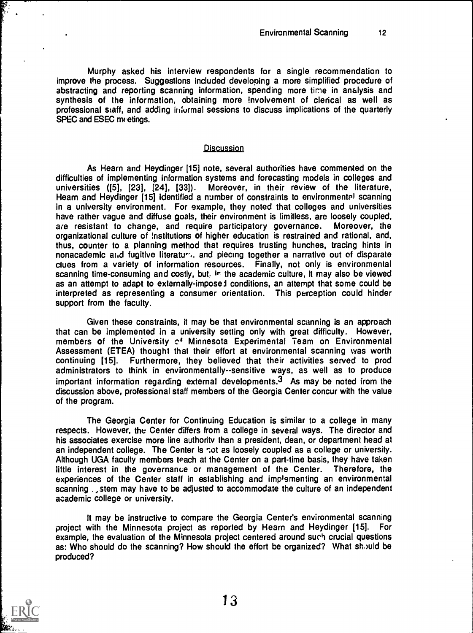Murphy asked his interview respondents for a single recommendation to improve the process. Suggestions included developing a more simplified procedure of abstracting and reporting scanning information, spending more time in analysis and synthesis of the information, obtaining more involvement of clerical as well as professional staff, and adding infurmal sessions to discuss implications of the quarterly SPEC and ESEC milletings.

#### Discussion

As Hearn and Heydinger [15] note, several authorities have commented on the difficulties of implementing information systems and forecasting models in colleges and universities ([5], [23], [24], [33]). Moreover, in their review of the literature, Hearn and Heydinger [15] identified a number of constraints to environmental scanning in a university environment. For example, they noted that colleges and universities have rather vague and diffuse goals, their environment is limitless, are loosely coupled, are resistant to change, and require participatory governance. Moreover, the are resistant to change, and require participatory governance. organizational culture of institutions of higher education is restrained and rational, and, thus, counter to a planning method that requires trusting hunches, tracing hints in nonacademic and fugitive literature, and piecing together a narrative out of disparate clues from a variety of information resources. Finally, not only is environmental scanning time-consuming and costly, but, in the academic culture, it may also be viewed as an attempt to adapt to externally-imposei conditions, an attempt that some could be interpreted as representing a consumer orientation. This perception could hinder support from the faculty.

Given these constraints, it may be that environmental scanning is an approach that can be implemented in a university setting only with great difficulty. However, members of the University cf Minnesota Experimental Team on Environmental Assessment (ETEA) thought that their effort at environmental scanning was worth continuing [15]. Furthermore, they believed that their activities served to prod administrators to think in environmentally--sensitive ways, as well as to produce important information regarding external developments. $3$  As may be noted from the discussion above, professional staff members of the Georgia Center concur with the value of the program.

The Georgia Center for Continuing Education is similar to a college in many respects. However, the Center differs from a college in several ways. The director and his associates exercise more line authority than a president, dean, or department head at an independent college. The Center is not as loosely coupled as a college or university. Although UGA faculty members teach at the Center on a part-time basis, they have taken little interest in the governance or management of the Center. Therefore, the experiences of the Center staff in establishing and implementing an environmental scanning . stem may have to be adjusted to accommodate the culture of an independent academic college or university.

It may be instructive to compare the Georgia Center's environmental scanning project with the Minnesota project as reported by Hearn and Heydinger [15]. For example, the evaluation of the Minnesota project centered around such crucial questions as: Who should do the scanning? How should the effort be organized? What should be produced?

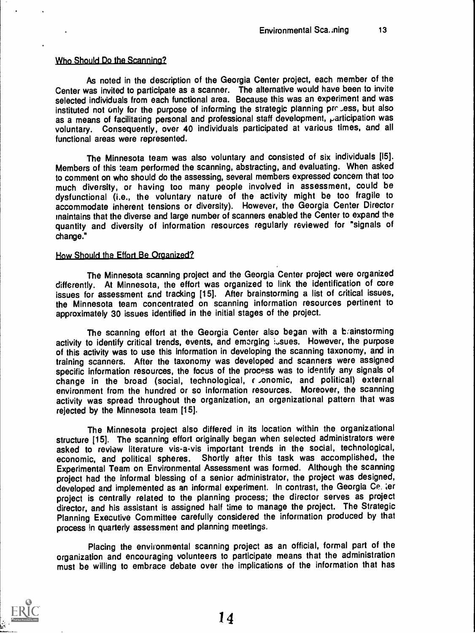#### Who Should Do the Scanning?

As noted in the description of the Georgia Center project, each member of the Center was invited to participate as a scanner. The alternative would have been to invite selected individuals from each functional area. Because this was an experiment and was instituted not only for the purpose of informing the strategic planning prr ,ess, but also as a means of facilitating personal and professional staff development, participation was voluntary. Consequently, over 40 individuals participated at various times, and all functional areas were represented.

The Minnesota team was also voluntary and consisted of six individuals [15]. Members of this team performed the scanning, abstracting, and evaluating. When asked to comment on who should do the assessing, several members expressed concern that too much diversity, or having too many people involved in assessment, could be dysfunctional (i.e., the voluntary nature of the activity might be too fragile to accommodate inherent tensions or diversity). However, the Georgia Center Director maintains that the diverse and large number of scanners enabled the Center to expand the quantity and diversity of information resources regularly reviewed for "signals of change."

#### How Should the Effort Be Organized?

The Minnesota scanning project and the Georgia Center project were organized differently. At Minnesota, the effort was organized to link the identification of core issues for assessment &nd tracking [15]. After brainstorming a list of critical issues, the Minnesota team concentrated on scanning information resources pertinent to approximately 30 issues identified in the initial stages of the project.

The scanning effort at the Georgia Center also began with a brainstorming activity to identify critical trends, events, and emarging issues. However, the purpose of this activity was to use this information in developing the scanning taxonomy, and in training scanners. After the taxonomy was developed and scanners were assigned specific information resources, the focus of the process was to identify any signals of change in the broad (social, technological, c ,onomic, and political) external environment from the hundred or so information resources. Moreover, the scanning activity was spread throughout the organization, an organizational pattern that was rejected by the Minnesota team [15].

The Minnesota project also differed in its location within the organizational structure [15]. The scanning effort originally began when selected administrators were asked to reviaw literature vis-a-vis important trends in the social, technological, economic, and political spheres. Shortly after this task was accomplished, the Experimental Team on Environmental Assessment was formed. Although the scanning project had the informal blessing of a senior administrator, the project was designed, developed and implemented as an informal experiment. In contrast, the Georgia Ce. ter project is centrally related to the planning process; the director serves as project director, and his assistant is assigned half :ime to manage the project. The Strategic Planning Executive Committee carefully considered the information produced by that process in quarterly assessment and planning meetings.

Placing the environmental scanning project as an official, formal part of the organization and encouraging volunteers to participate means that the administration must be willing to embrace debate over the implications of the information that has

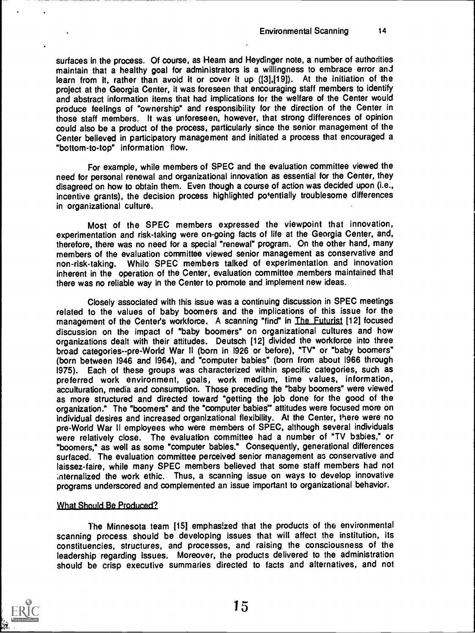surfaces in the process. Of course, as Heam and Heydinger note, a number of authorities maintain that a healthy goal for administrators is a willingness to embrace error and learn from It, rather than avoid it or cover it up ([3],[191). At the initiation of the project at the Georgia Center, it was foreseen that encouraging staff members to identify and abstract information items that had implications for the welfare of the Center would produce feelings of "ownership" and responsibility for the direction of the Center in those staff members. It was unforeseen, however, that strong differences of opinion could also be a product of the process, particularly since the senior management of the Center believed in participatory management and initiated a process that encouraged a "bottom-to-top" information flow.

For example, while members of SPEC and the evaluation committee viewed the need for personal renewal and organizational innovation as essential for the Center, they disagreed on how to obtain them. Even though a course of action was decided upon (i.e., incentive grants), the decision process highlighted potentially troublesome differences in organizational culture.

Most of the SPEC members expressed the viewpoint that innovation, experimentation and risk-taking were on-going facts of life at the Georgia Center, and, therefore, there was no need for a special "renewal" program. On the other hand, many members of the evaluation committee viewed senior management as conservative and non-risk-taking. Whilo SPEC members talked of experimentation and innovation inherent in the operation of the Center, evaluation committee members maintained that there was no reliable way in the Center to promote and implement new ideas.

Closely associated with this issue was a continuing discussion in SPEC meetings related to the values of baby boomers and the implications of this issue for the management of the Center's workforce. A scanning "find" in The Futurist [12] focused discussion on the impact of "baby boomers" on organizational cultures and how organizations dealt with their attitudes. Deutsch [121 divided the workforce into three broad categories--pre-World War II (born in 1926 or before), "TV" or "baby boomers" (born between 1946 and 1964), and "computer babies" (born from about 1966 through 1975). Each of these groups was characterized within specific categories, such as preferred work environment, goals, work medium, time values, information, acculturation, media and consumption. Those preceding the "baby boomers" were viewed as more structured and directed toward "getting the job done for the good of the organization." The "boomers" and the "computer babies'" attitudes were focused more on individual desires and increased organizational flexibility. At the Center, there were no pre-World War II employees who were members of SPEC, although several individuals were relatively close. The evaluation committee had a number of "TV babies," or "boomers," as well as some "computer babies." Consequently, generational differences surfaced. The evaluation committee perceived senior management as conservative and laissez-faire, while many SPEC members believed that some staff members had not ;nternalized the work ethic. Thus, a scanning issue on ways to develop innovative programs underscored and complemented an issue important to organizational behavior.

## What Should Be Produced?

The Minnesota team [151 emphasized that the products of the environmental scanning process should be developing issues that will affect the institution, its constituencies, structures, and processes, and raising the consciousness of the leadership regarding issues. Moreover, the products delivered to the administration should be crisp executive summaries directed to facts and alternatives, and not

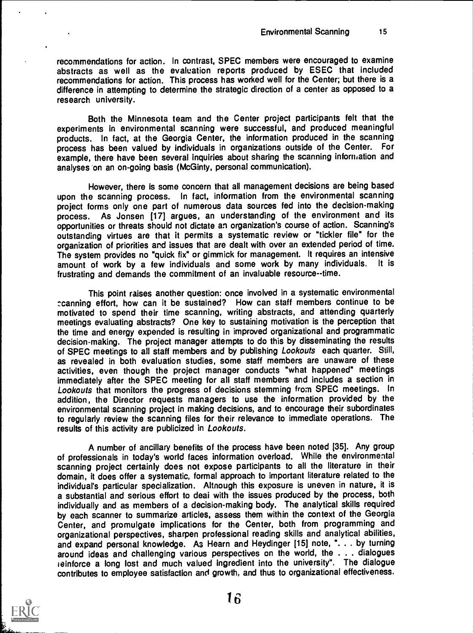recommendations for action. In contrast, SPEC members were encouraged to examine abstracts as well as the evaluation reports produced by ESEC that included recommendations for action. This process has worked well for the Center; but there is a difference in attempting to determine the strategic direction of a center as opposed to a research university.

Both the Minnesota team and the Center project participants felt that the experiments in environmental scanning were successful, and produced meaningful products. In fact, at the Georgia Center, the information produced in the scanning process has been valued by individuals in organizations outside of the Center. For example, there have been several inquiries about sharing the scanning information and analyses 'on an on-going basis (McGinty, personal communication).

However, there is some concern that all management decisions are being based upon the scanning process. In fact, information from the environmental scanning project forms only one part of numerous data sources fed into the decision-making process. As Jonsen [17] argues, an understanding of the environment and its opportunities or threats should not dictate an organization's course of action. Scanning's outstanding virtues are that it permits a systematic review or "tickler file" for the organization of priorities and issues that are dealt with over an extended period of time. The system provides no "quick fix" or gimmick for management. It requires an intensive<br>amount of work by a few individuals and some work by many individuals. It is amount of work by a few individuals and some work by many individuals. frustrating and demands the commitment of an invaluable resource--time.

This point raises another question: once involved in a systematic environmental :canning effort, how can it be sustained? How can staff members continue to be motivated to spend their time scanning, writing abstracts, and attending quarterly meetings evaluating abstracts? One key to sustaining motivation is the perception that the time and energy expended is resulting in improved organizational and programmatic decision-making. The project manager attempts to do this by disseminating the results of SPEC meetings to all staff members and by publishing Lookouts each quarter. Still, as revealed in both evaluation studies, some staff members are unaware of these activities, even though the project manager conducts "what happened" meetings immediately after the SPEC meeting for all staff members and includes a section in Lookouts that monitors the progress of decisions stemming from SPEC meetings. In addition, the Director requests managers to use the information provided by the environmental scanning project in making decisions, and to encourage their subordinates to regularly review the scanning files for their relevance to immediate operations. The results of this activity are publicized in Lookouts.

A number of ancillary benefits of the process have been noted [35]. Any group of professionals in today's world faces information overload. While the environmental scanning project certainly does not expose participants to all the literature in their domain, it does offer a systematic, formal approach to important literature related to the individual's particular specialization. Aitnough this exposure is uneven in nature, it is a substantial and serious effort to deai with the issues produced by the process, both individually and as members of a decision-making body. The analytical skills required by each scanner to summarize articles, assess them within the context of the Georgia Center, and promulgate implications for the Center, both from programming and organizational perspectives, sharpen professional reading skills and analytical abilities, and expand personal knowledge. As Hearn and Heydinger [15] note, ". . . by turning around ideas and challenging various perspectives on the world, the . . . dialogues i einforce a long lost and much valued ingredient into the university". The dialogue contributes to employee satisfaction and growth, and thus to organizational effectiveness.

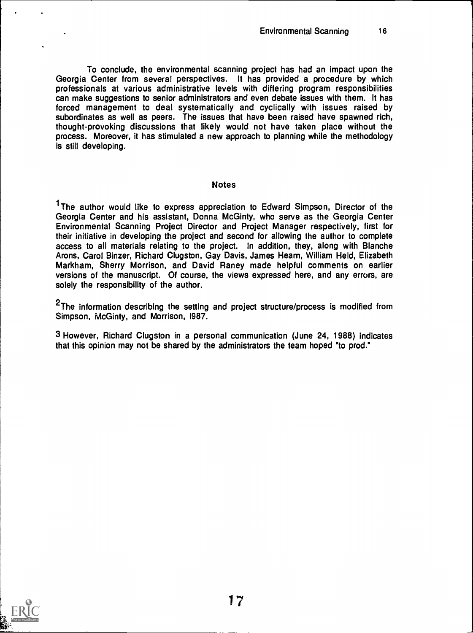To conclude, the environmental scanning project has had an impact upon the Georgia Center from several perspectives. It has provided a procedure by which professionals at various administrative levels with differing program responsibilities can make suggestions to senior administrators and even debate issues with them. It has forced management to deal systematically and cyclically with issues raised by subordinates as well as peers. The issues that have been raised have spawned rich, thought-provoking discussions that likely would not have taken place without the process. Moreover, it has stimulated a new approach to planning while the methodology is still developing.

#### **Notes**

<sup>1</sup>The author would like to express appreciation to Edward Simpson, Director of the Georgia Center and his assistant, Donna McGinty, who serve as the Georgia Center Environmental Scanning Project Director and Project Manager respectively, first for their initiative in developing the project and second for allowing the author to complete access to all materials relating to the project. In addition, they, along with Blanche Arons, Carol Binzer, Richard Clugston, Gay Davis, James Hearn, William Held, Elizabeth Markham, Sherry Morrison, and David Raney made helpful comments on earlier versions of the manuscript. Of course, the views expressed here, and any errors, are solely the responsibility of the author.

<sup>2</sup>The information describing the setting and project structure/process is modified from Simpson, McGinty, and Morrison, 1987.

3 However, Richard Clugston in a personal communication (June 24, 1988) indicates that this opinion may not be shared by the administrators the team hoped "to prod."



1f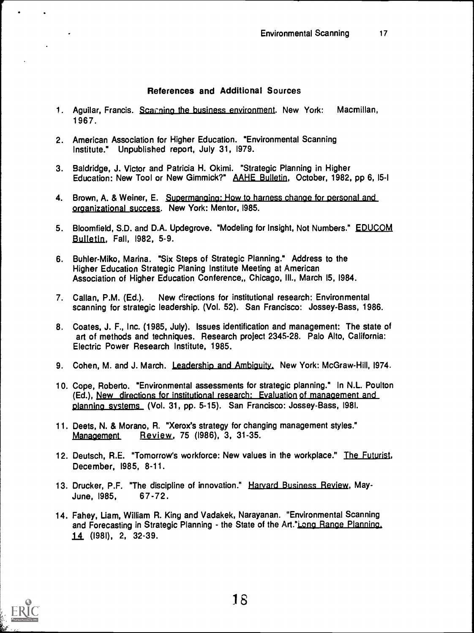## References and Additional Sources

- 1. Aguilar, Francis. Scanning the business environment. New York: Macmillan, 1967.
- 2. American Association for Higher Education. "Environmental Scanning Institute." Unpublished report, July 31, 1979.
- 3. Baldridge, J. Victor and Patricia H. Okimi. "Strategic Planning in Higher Education: New Tool or New Gimmick?" AAHE Bulletin, October, 1982, pp 6, 15-1
- 4. Brown, A. & Weiner, E. Supermanging: How to harness change for personal and organizational success. New York: Mentor, 1985.
- 5. Bloomfield, S.D. and D.A. Updegrove. "Modeling for Insight, Not Numbers." EDUCOM Bulletin, Fall, 1982, 5-9.
- 6. Buhler-Miko, Marina. "Six Steps of Strategic Planning." Address to the Higher Education Strategic Planing Institute Meeting at American Association of Higher Education Conference,, Chicago, Ill., March 15, 1984.
- 7. Callan, P.M. (Ed.). New directions for institutional research: Environmental scanning for strategic leadership. (Vol. 52). San Francisco: Jossey-Bass, 1986.
- 8. Coates, J. F., Inc. (1985, July). Issues identification and management: The state of art of methods and techniques. Research project 2345-28. Palo Alto, California: Electric Power Research Institute, 1985.
- 9. Cohen, M. and J. March. Leadership and Ambiguity, New York: McGraw-Hill, 1974.
- 10. Cope, Roberto. "Environmental assessments for strategic planning." In N.L. Poulton (Ed.), New directions for institutional research: Evaluation of management and planning systems (Vol. 31, pp. 5-15). San Francisco: Jossey-Bass, 1981.
- 11. Deets, N. & Morano, R. "Xerox's strategy for changing management styles." Management Review, 75 (1986), 3, 31-35.
- 12. Deutsch, R.E. "Tomorrow's workforce: New values in the workplace." The Futurist, December, 1985, 8-11.
- 13. Drucker, P.F. "The discipline of innovation." Harvard Business Review, May-June, 1985, 67-72.
- 14. Fahey, Liam, William R. King and Vadakek, Narayanan. "Environmental Scanning and Forecasting in Strategic Planning - the State of the Art."Long Range Planning, 14. (1981), 2, 32-39.

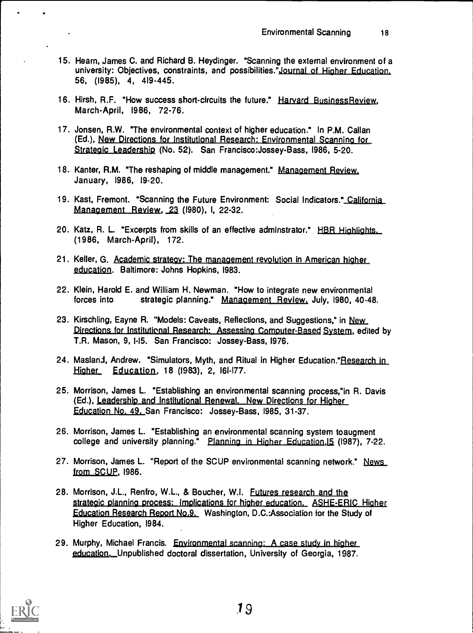- 15. Hearn, James C. and Richard B. Heydinger. "Scanning the external environment of a university: Objectives, constraints, and possibilities."Journal of Higher Education. 56, (1985), 4, 419-445.
- 16. Hirsh, R.F. "How success short-circuits the future." Harvard Business Review, March-April, 1986, 72-76.
- 17. Jonsen, R.W. "The environmental context of higher education." In P.M. Callan (Ed.), New Directions for Institutional Research: Environmental Scanning for Strategic Leadership (No. 52). San Francisco:Jossey-Bass, 1986, 5-20.
- 18. Kanter, R.M. "The reshaping of middle management." Management Review. January, 1986, 19-20.
- 19. Kast, Fremont. "Scanning the Future Environment: Social Indicators."\_California Management Review, 23 (1980), I, 22-32.
- 20. Katz, R. L "Excerpts from skills of an effective adminstrator." HBR Highlights. (1986, March-April), 172.
- 21. Keller, G. Academic strateav: The management revolution in American higher education. Baltimore: Johns Hopkins, 1983.
- 22. Klein, Harold E. and William H. Newman. "How to integrate new environmental forces into strategic planning." Management Review. July, 1980, 40-48.
- 23. Kirschling, Eayne R. "Models: Caveats, Reflections, and Suggestions," in New Directions for Institutional Research: Assessing Computer-Based System, edited by T.R. Mason, 9, 1-15. San Francisco: Jossey-Bass, 1976.
- 24. Masland, Andrew. "Simulators, Myth, and Ritual in Higher Education." Research in Higher Education, 18 (1983), 2, 161-177.
- 25. Morrison, James L. "Establishing an environmental scanning process,"in R. Davis (Ed.), Leadership and Institutional Renewal. New Directions for Higher Education No. 49. San Francisco: Jossey-Bass, 1985, 31-37.
- 26. Morrison, James L. "Establishing an environmental scanning system toaugment college and university planning." Planning in Higher Education, 15 (1987), 7-22.
- 27. Morrison, James L. "Report of the SCUP environmental scanning network." News from SCUP, 1986.
- 28. Morrison, J.L., Renfro, W.L., & Boucher, W.I. Futures research and the strategic planning process: Implications for higher education. ASHE-ERIC Higher Education Research Report No.9. Washington, D.C.:Association for the Study of Higher Education, 1984.
- 29. Murphy, Michael Francis. Environmental scanning: A case study in higher education. Unpublished doctoral dissertation, University of Georgia, 1987.